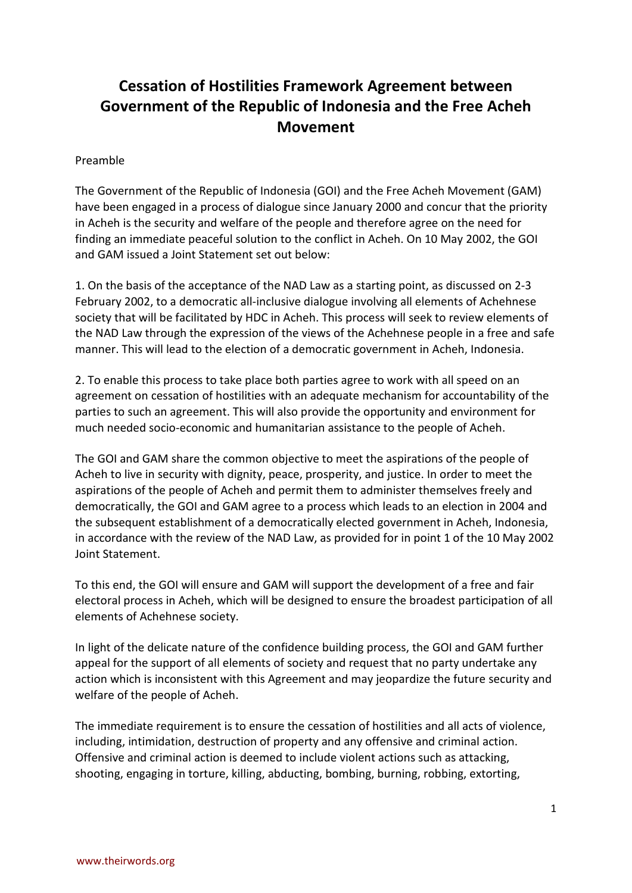# **Cessation of Hostilities Framework Agreement between Government of the Republic of Indonesia and the Free Acheh Movement**

## Preamble

The Government of the Republic of Indonesia (GOI) and the Free Acheh Movement (GAM) have been engaged in a process of dialogue since January 2000 and concur that the priority in Acheh is the security and welfare of the people and therefore agree on the need for finding an immediate peaceful solution to the conflict in Acheh. On 10 May 2002, the GOI and GAM issued a Joint Statement set out below:

1. On the basis of the acceptance of the NAD Law as a starting point, as discussed on 2-3 February 2002, to a democratic all-inclusive dialogue involving all elements of Achehnese society that will be facilitated by HDC in Acheh. This process will seek to review elements of the NAD Law through the expression of the views of the Achehnese people in a free and safe manner. This will lead to the election of a democratic government in Acheh, Indonesia.

2. To enable this process to take place both parties agree to work with all speed on an agreement on cessation of hostilities with an adequate mechanism for accountability of the parties to such an agreement. This will also provide the opportunity and environment for much needed socio-economic and humanitarian assistance to the people of Acheh.

The GOI and GAM share the common objective to meet the aspirations of the people of Acheh to live in security with dignity, peace, prosperity, and justice. In order to meet the aspirations of the people of Acheh and permit them to administer themselves freely and democratically, the GOI and GAM agree to a process which leads to an election in 2004 and the subsequent establishment of a democratically elected government in Acheh, Indonesia, in accordance with the review of the NAD Law, as provided for in point 1 of the 10 May 2002 Joint Statement.

To this end, the GOI will ensure and GAM will support the development of a free and fair electoral process in Acheh, which will be designed to ensure the broadest participation of all elements of Achehnese society.

In light of the delicate nature of the confidence building process, the GOI and GAM further appeal for the support of all elements of society and request that no party undertake any action which is inconsistent with this Agreement and may jeopardize the future security and welfare of the people of Acheh.

The immediate requirement is to ensure the cessation of hostilities and all acts of violence, including, intimidation, destruction of property and any offensive and criminal action. Offensive and criminal action is deemed to include violent actions such as attacking, shooting, engaging in torture, killing, abducting, bombing, burning, robbing, extorting,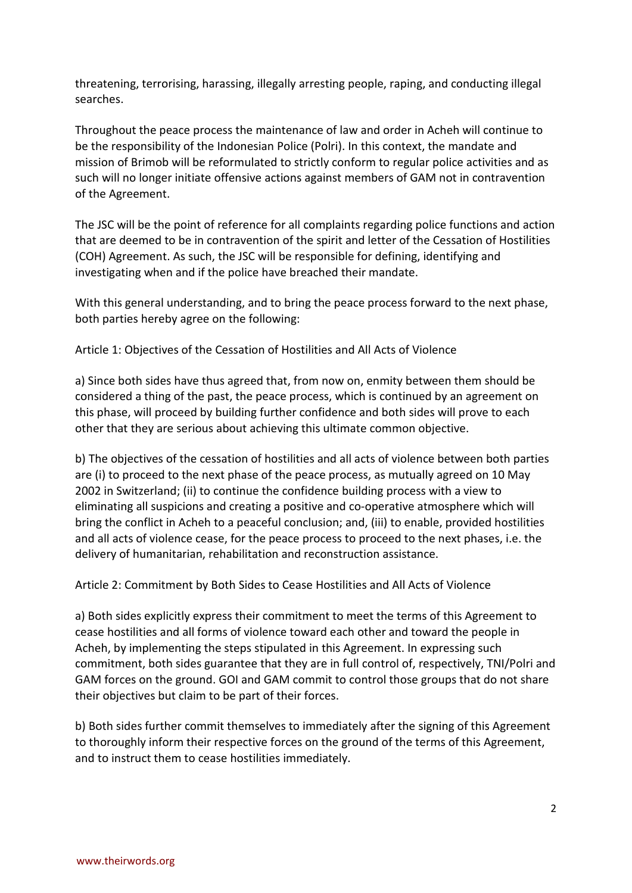threatening, terrorising, harassing, illegally arresting people, raping, and conducting illegal searches.

Throughout the peace process the maintenance of law and order in Acheh will continue to be the responsibility of the Indonesian Police (Polri). In this context, the mandate and mission of Brimob will be reformulated to strictly conform to regular police activities and as such will no longer initiate offensive actions against members of GAM not in contravention of the Agreement.

The JSC will be the point of reference for all complaints regarding police functions and action that are deemed to be in contravention of the spirit and letter of the Cessation of Hostilities (COH) Agreement. As such, the JSC will be responsible for defining, identifying and investigating when and if the police have breached their mandate.

With this general understanding, and to bring the peace process forward to the next phase, both parties hereby agree on the following:

Article 1: Objectives of the Cessation of Hostilities and All Acts of Violence

a) Since both sides have thus agreed that, from now on, enmity between them should be considered a thing of the past, the peace process, which is continued by an agreement on this phase, will proceed by building further confidence and both sides will prove to each other that they are serious about achieving this ultimate common objective.

b) The objectives of the cessation of hostilities and all acts of violence between both parties are (i) to proceed to the next phase of the peace process, as mutually agreed on 10 May 2002 in Switzerland; (ii) to continue the confidence building process with a view to eliminating all suspicions and creating a positive and co-operative atmosphere which will bring the conflict in Acheh to a peaceful conclusion; and, (iii) to enable, provided hostilities and all acts of violence cease, for the peace process to proceed to the next phases, i.e. the delivery of humanitarian, rehabilitation and reconstruction assistance.

Article 2: Commitment by Both Sides to Cease Hostilities and All Acts of Violence

a) Both sides explicitly express their commitment to meet the terms of this Agreement to cease hostilities and all forms of violence toward each other and toward the people in Acheh, by implementing the steps stipulated in this Agreement. In expressing such commitment, both sides guarantee that they are in full control of, respectively, TNI/Polri and GAM forces on the ground. GOI and GAM commit to control those groups that do not share their objectives but claim to be part of their forces.

b) Both sides further commit themselves to immediately after the signing of this Agreement to thoroughly inform their respective forces on the ground of the terms of this Agreement, and to instruct them to cease hostilities immediately.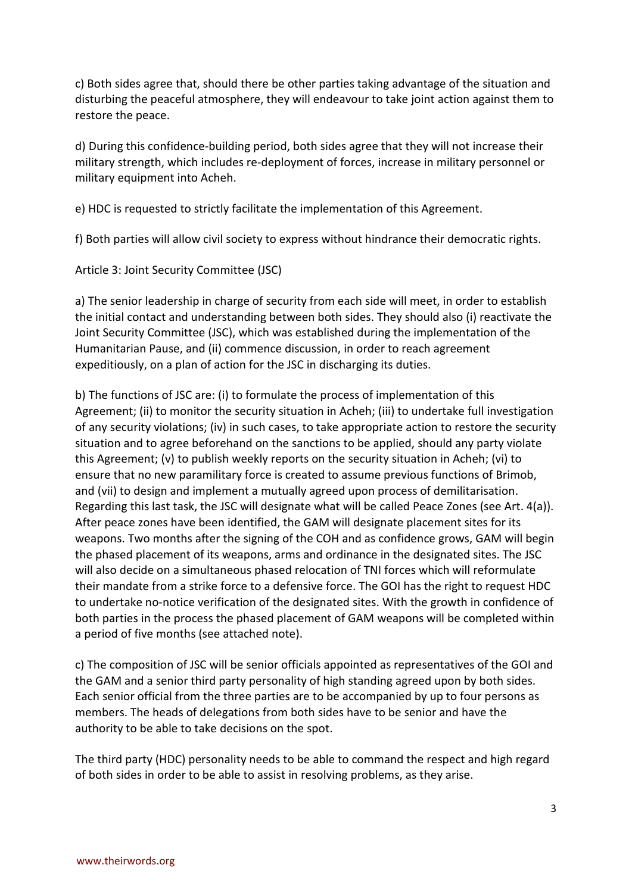c) Both sides agree that, should there be other parties taking advantage of the situation and disturbing the peaceful atmosphere, they will endeavour to take joint action against them to restore the peace.

d) During this confidence-building period, both sides agree that they will not increase their military strength, which includes re-deployment of forces, increase in military personnel or military equipment into Acheh.

e) HDC is requested to strictly facilitate the implementation of this Agreement.

f) Both parties will allow civil society to express without hindrance their democratic rights.

Article 3: Joint Security Committee (JSC)

a) The senior leadership in charge of security from each side will meet, in order to establish the initial contact and understanding between both sides. They should also (i) reactivate the Joint Security Committee (JSC), which was established during the implementation of the Humanitarian Pause, and (ii) commence discussion, in order to reach agreement expeditiously, on a plan of action for the JSC in discharging its duties.

b) The functions of JSC are: (i) to formulate the process of implementation of this Agreement; (ii) to monitor the security situation in Acheh; (iii) to undertake full investigation of any security violations; (iv) in such cases, to take appropriate action to restore the security situation and to agree beforehand on the sanctions to be applied, should any party violate this Agreement; (v) to publish weekly reports on the security situation in Acheh; (vi) to ensure that no new paramilitary force is created to assume previous functions of Brimob, and (vii) to design and implement a mutually agreed upon process of demilitarisation. Regarding this last task, the JSC will designate what will be called Peace Zones (see Art. 4(a)). After peace zones have been identified, the GAM will designate placement sites for its weapons. Two months after the signing of the COH and as confidence grows, GAM will begin the phased placement of its weapons, arms and ordinance in the designated sites. The JSC will also decide on a simultaneous phased relocation of TNI forces which will reformulate their mandate from a strike force to a defensive force. The GOI has the right to request HDC to undertake no-notice verification of the designated sites. With the growth in confidence of both parties in the process the phased placement of GAM weapons will be completed within a period of five months (see attached note).

c) The composition of JSC will be senior officials appointed as representatives of the GOI and the GAM and a senior third party personality of high standing agreed upon by both sides. Each senior official from the three parties are to be accompanied by up to four persons as members. The heads of delegations from both sides have to be senior and have the authority to be able to take decisions on the spot.

The third party (HDC) personality needs to be able to command the respect and high regard of both sides in order to be able to assist in resolving problems, as they arise.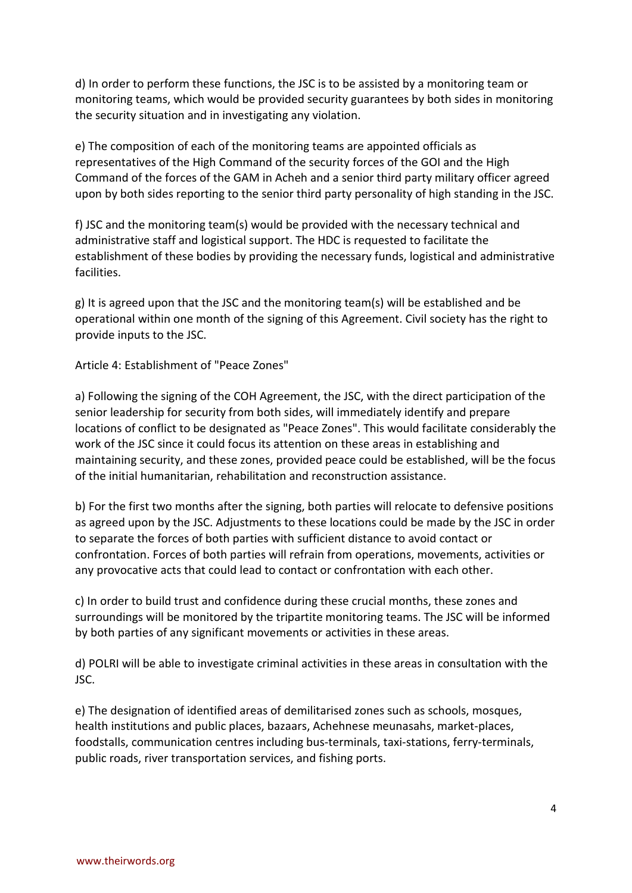d) In order to perform these functions, the JSC is to be assisted by a monitoring team or monitoring teams, which would be provided security guarantees by both sides in monitoring the security situation and in investigating any violation.

e) The composition of each of the monitoring teams are appointed officials as representatives of the High Command of the security forces of the GOI and the High Command of the forces of the GAM in Acheh and a senior third party military officer agreed upon by both sides reporting to the senior third party personality of high standing in the JSC.

f) JSC and the monitoring team(s) would be provided with the necessary technical and administrative staff and logistical support. The HDC is requested to facilitate the establishment of these bodies by providing the necessary funds, logistical and administrative facilities.

g) It is agreed upon that the JSC and the monitoring team(s) will be established and be operational within one month of the signing of this Agreement. Civil society has the right to provide inputs to the JSC.

Article 4: Establishment of "Peace Zones"

a) Following the signing of the COH Agreement, the JSC, with the direct participation of the senior leadership for security from both sides, will immediately identify and prepare locations of conflict to be designated as "Peace Zones". This would facilitate considerably the work of the JSC since it could focus its attention on these areas in establishing and maintaining security, and these zones, provided peace could be established, will be the focus of the initial humanitarian, rehabilitation and reconstruction assistance.

b) For the first two months after the signing, both parties will relocate to defensive positions as agreed upon by the JSC. Adjustments to these locations could be made by the JSC in order to separate the forces of both parties with sufficient distance to avoid contact or confrontation. Forces of both parties will refrain from operations, movements, activities or any provocative acts that could lead to contact or confrontation with each other.

c) In order to build trust and confidence during these crucial months, these zones and surroundings will be monitored by the tripartite monitoring teams. The JSC will be informed by both parties of any significant movements or activities in these areas.

d) POLRI will be able to investigate criminal activities in these areas in consultation with the JSC.

e) The designation of identified areas of demilitarised zones such as schools, mosques, health institutions and public places, bazaars, Achehnese meunasahs, market-places, foodstalls, communication centres including bus-terminals, taxi-stations, ferry-terminals, public roads, river transportation services, and fishing ports.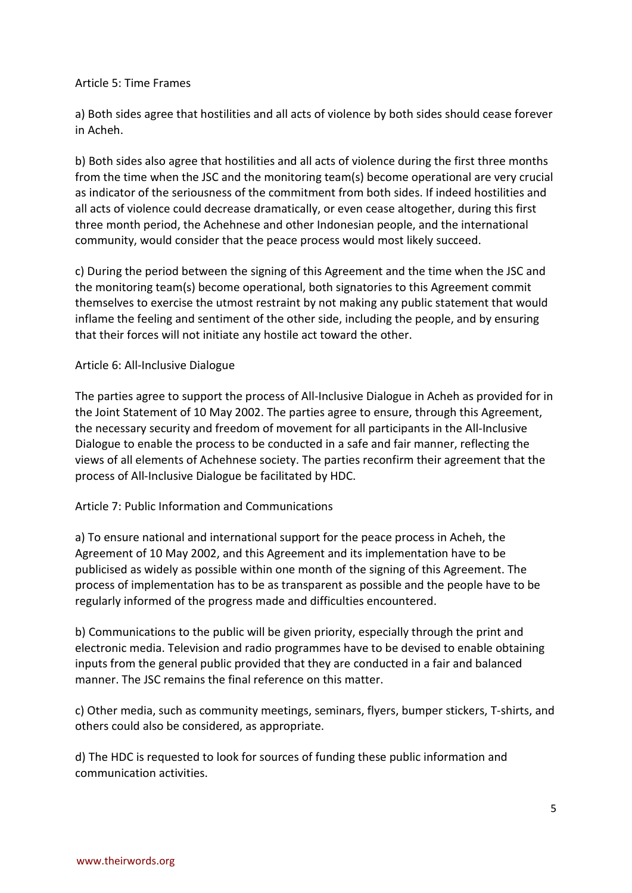## Article 5: Time Frames

a) Both sides agree that hostilities and all acts of violence by both sides should cease forever in Acheh.

b) Both sides also agree that hostilities and all acts of violence during the first three months from the time when the JSC and the monitoring team(s) become operational are very crucial as indicator of the seriousness of the commitment from both sides. If indeed hostilities and all acts of violence could decrease dramatically, or even cease altogether, during this first three month period, the Achehnese and other Indonesian people, and the international community, would consider that the peace process would most likely succeed.

c) During the period between the signing of this Agreement and the time when the JSC and the monitoring team(s) become operational, both signatories to this Agreement commit themselves to exercise the utmost restraint by not making any public statement that would inflame the feeling and sentiment of the other side, including the people, and by ensuring that their forces will not initiate any hostile act toward the other.

## Article 6: All-Inclusive Dialogue

The parties agree to support the process of All-Inclusive Dialogue in Acheh as provided for in the Joint Statement of 10 May 2002. The parties agree to ensure, through this Agreement, the necessary security and freedom of movement for all participants in the All-Inclusive Dialogue to enable the process to be conducted in a safe and fair manner, reflecting the views of all elements of Achehnese society. The parties reconfirm their agreement that the process of All-Inclusive Dialogue be facilitated by HDC.

## Article 7: Public Information and Communications

a) To ensure national and international support for the peace process in Acheh, the Agreement of 10 May 2002, and this Agreement and its implementation have to be publicised as widely as possible within one month of the signing of this Agreement. The process of implementation has to be as transparent as possible and the people have to be regularly informed of the progress made and difficulties encountered.

b) Communications to the public will be given priority, especially through the print and electronic media. Television and radio programmes have to be devised to enable obtaining inputs from the general public provided that they are conducted in a fair and balanced manner. The JSC remains the final reference on this matter.

c) Other media, such as community meetings, seminars, flyers, bumper stickers, T-shirts, and others could also be considered, as appropriate.

d) The HDC is requested to look for sources of funding these public information and communication activities.